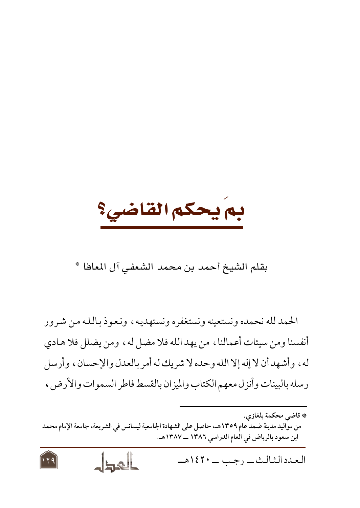بم يحكم القاضي؟

بقلم الشيخ أحمد بن محمد الشعفي آل المعافا \*

الحمد لله نحمده ونستعينه ونستغفره ونستهديه، ونعوذ بالله من شرور أنفسنا ومن سيئات أعمالنا ، من يهد الله فلا مضل له ، ومن يضلل فلا هـادي له، وأشهد أن لا إله إلا الله وحده لا شريك له أمر بالعدل والإحسان، وأرسل رسله بالبينات وأنزل معهم الكتاب والميزان بالقسط فاطر السموات والأرضى،



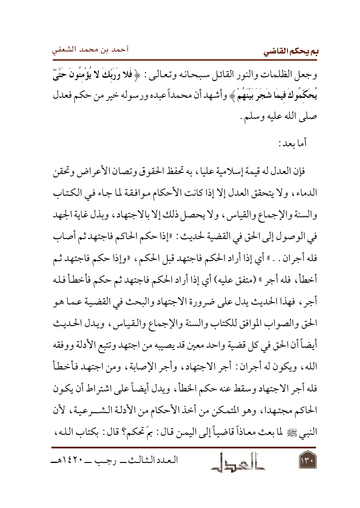بم يحكم القاضي

وجعل الظلمات والنور القائل سبحانه وتعالىي : ﴿ فَلا وَرَبِّكَ لا يُؤْمِنُونَ حَتَّىٓ يُحَكّمُوكَ فيمَا شَجَرَ بَيْنَهُمْ ﴾ وأشهد أن محمداً عبده ورسوله خير من حكم فعدل صلى الله عليه وسلم .

أما ىعد :

فإن العدل له قيمة إسلامية عليا ، به تحفظ الحقوق وتصان الأعر اض وتحقن الدماء، ولا يتحقق العدل إلا إذا كانت الأحكام موافقة لما جاء في الكتاب والسنة والإجماع والقياس، ولا يحصل ذلك إلا بالاجتهاد، وبذل غاية الجهد في الوصول إلى الحق في القضية لحديث: «إذا حكم الحاكم فاجتهد ثم أصاب فله أجران . . » أي إذا أراد الحكم فاجتهد قبل الحكم ، «وإذا حكم فاجتهد ثم أخطأ، فله أجر » (متفق عليه) أي إذا أراد الحكم فاجتهد ثم حكم فأخطأ فله أجرٍ ، فهذا الحديث يدل على ضرورة الاجتهاد والبحث في القضية عما هو الحق والصواب الموافق للكتاب والسنة والإجماع والقياس، ويدل الحديث أيضاً أن الحق في كل قضية واحد معين قد يصيبه من اجتهد وتتبع الأدلة ووفقه الله، ويكون له أجران : أجر الاجتهاد، وأجر الإصابة، ومن اجتهد فأخطأ فله أجر الاجتهاد وسقط عنه حكم الخطأ، ويدل أيضاً على اشتراط أن يكون الحاكم مجتهدا، وهو المتمكن من أخذ الأحكام من الأدلة الشــرعية، لأن النبي ﷺ لما بعث معاذاً قاضياً إلى اليمن قال : بمَ تحكم؟ قال : بكتاب الله،

العدد الشالث \_ , جب \_ ١٤٢٠هـ  $14.$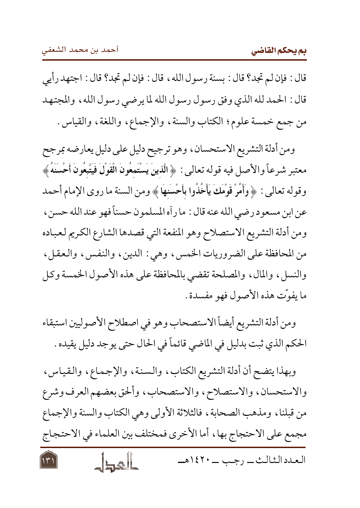قال : فإن لم تجد؟ قال : بسنة رسول الله ، قال : فإن لم تجد؟ قال : اجتهد رأيي قال : الحمد لله الذي وفق رسول رسول الله لما يرضى رسول الله ، والمجتهد من جمع خمسة علوم؛ الكتاب والسنة، والإجماع، واللغة، والقياس.

ومن أدلة التشريع الاستحسان، وهو ترجيح دليل على دليل يعارضه بمرجح معتبر شرعاً والأصل فيه قوله تعالى: ﴿ الَّذينَ يَسْتَمعُونَ الْقَوْلَ فَيَتَّبِعُونَ أَحْسَنَهُ ﴾ وقوله تعالى : ﴿ وَأَمُرْ قَوْمَكَ يَأْخُذُوا بِأَحْسَنِهَا ﴾ ومن السنة ما روى الإمام أحمد عن ابن مسعود رضي الله عنه قال : ما رأه المسلمون حسناً فهو عند الله حسن ، ومن أدلة التشريع الاستصلاح وهو المنفعة التي قصدها الشارع الكريم لعباده من المحافظة على الضروريات الخمس، وهي : الدين، والنفس، والعقل، والنسل، والمال، والمصلحة تقضي بالمحافظة على هذه الأصول الخمسة وكل ما يفوّت هذه الأصول فهو مفسدة .

ومن أدلة التشريع أيضاً الاستصحاب وهو في اصطلاح الأصوليين استبقاء الحكم الذي ثبت بدليل في الماضي قائماً في الحال حتى يوجد دليل يقيده .

وبهذا يتضح أن أدلة التشريع الكتاب، والسنة، والإجماع، والقياس، والاستحسان، والاستصلاح، والاستصحاب، وألحق بعضهم العرف وشرع من قبلنا، ومذهب الصحابة، فالثلاثة الأولى وهي الكتاب والسنة والإجماع مجمع على الاحتجاج بها، أما الأخرى فمختلف بين العلماء في الاحتجاج العدد الشالث \_ , جب \_ ١٤٢٠هـ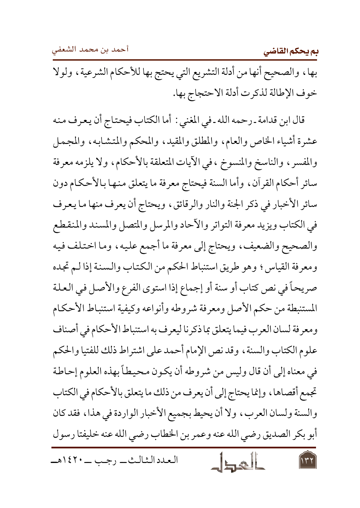أحمد بن محمد الشعفي

بم يحكم القاضي

بها، والصحيح أنها من أدلة التشريع التي يحتج بها للأحكام الشرعية، ولولا خوف الإطالة لذكرت أدلة الاحتجاج بها.

قال ابن قدامة ـ رحمه الله ـ في المغني : أما الكتاب فيحتاج أن يعرف منه عشرة أشياء الخاص والعام، والمطلق والمقيد، والمحكم والمتشابه، والمجمل والمفسر ، والناسخ والمنسوخ ، في الأيات المتعلقة بالأحكام، ولا يلزمه معرفة سائر أحكام القرآن، وأما السنة فيحتاج معرفة ما يتعلق منها بالأحكام دون سائر الأخبار في ذكر الجنة والنار والرقائق، ويحتاج أن يعرف منها ما يعرف في الكتاب ويزيد معرفة التواتر والأحاد والمرسل والمتصل والمسند والمنقطع والصحيح والضعيف، ويحتاج إلى معرفة ما أجمع عليه، وما اختلف فيه ومعرفة القياس؛ وهو طريق استنباط الحكم من الكتاب والسنة إذا لـم تجده صريحاً في نص كتاب أو سنة أو إجماع إذا استوى الفرع والأصل في العلة المستنبطة من حكم الأصل ومعرفة شروطه وأنواعه وكيفية استنباط الأحكام ومعرفة لسان العرب فيما يتعلق بما ذكرنا ليعرف به استنباط الأحكام في أصناف علوم الكتاب والسنة، وقد نص الإمام أحمد على اشتراط ذلك للفتيا والحكم في معناه إلى أن قال وليس من شروطه أن يكون محيطاً بهذه العلوم إحاطة تجمع أقصاها ، وإنما يحتاج إلى أن يعرف من ذلك ما يتعلق بالأحكام في الكتاب والسنة ولسان العرب، ولا أن يحيط بجميع الأخبار الواردة في هذا، فقد كان أبو بكر الصديق رضي الله عنه وعمر بن الخطاب رضي الله عنه خليفتا رسول

العدد الشالث \_ , جب \_ ١٤٢٠هـ

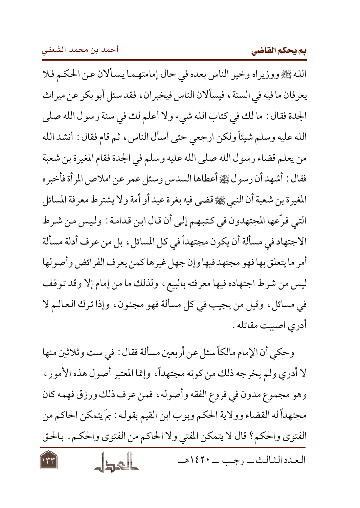الله ﷺ ووزيراه وخير الناس بعده في حال إمامتهما يسألان عن الحكم فلا يعرفان ما فيه في السنة ، فيسألان الناس فيخبران ، فقد سئل أبو بكر عن ميراث الجدة فقال : ما لك في كتاب الله شيء ولا أعلم لك في سنة رسول الله صلى الله عليه وسلم شيئاً ولكن ارجعي حتى أسأل الناس، ثم قام فقال : أنشد الله من يعلم قضاء رسول الله صلى الله عليه وسلم في الجدة فقام المغيرة بن شعبة فقال : أشهد أن رسول ﷺ أعطاها السدس وسئل عمر عن املاص المرأة فأخبره المغيرة بن شعبة أن النبي ﷺ قضي فيه بغرة عبد أو أمة ولا يشترط معرفة المسائل التبي فرَّعها المجتهدون في كتبهم إلى أن قال ابن قدامة : وليس من شرط الاجتهاد في مسألة أن يكون مجتهداً في كل المسائل ، بل من عرف أدلة مسألة أمر ما يتعلق بها فهو مجتهد فيها وإن جهل غيرها كمن يعرف الفرائض وأصولها ليس من شرط اجتهاده فيها معرفته بالبيع، ولذلك ما من إمام إلا وقد توقف في مسائل، وقيل من يجيب في كل مسألة فهو مجنون، وإذا ترك العالـم لا أدري اصيبت مقاتله .

وحكي أن الإمام مالكاً سئل عن أربعين مسألة فقال : في ست وثلاثين منها لا أدري ولم يخرجه ذلك من كونه مجتهداً، وإنما المعتبر أصول هذه الأمور ، وهو مجموع مدون في فروع الفقه وأصوله ، فمن عرف ذلك ورزق فهمه كان مجتهداً له القضاء وولاية الحكم وبوب ابن القيم بقوله : بمَ يتمكن الحاكم من الفتوى والحكم؟ قال لا يتمكن المفتي ولا الحاكم من الفتوى والحكم . بالحق العدد الشالث \_\_ د جب \_\_ ١٤٢٠هـــ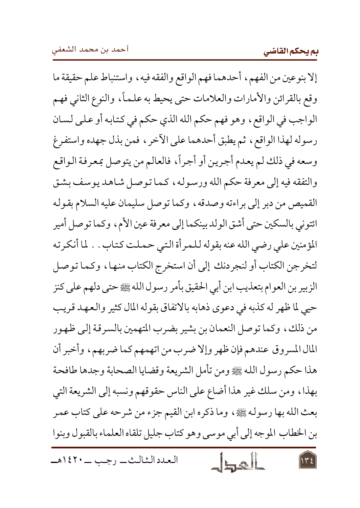إلا بنوعين من الفهم، أحدهما فهم الواقع والفقه فيه، واستنباط علم حقيقة ما وقع بالقرائن والأمارات والعلامات حتى يحيط به علماً، والنوع الثاني فهم الواجب في الواقع، وهو فهم حكم الله الذي حكم في كتابه أو على لسان رسوله لهذا الواقع، ثم يطبق أحدهما على الآخر ، فمن بذل جهده واستفرغ وسعه في ذلك لم يعدم أجرين أو أجراً، فالعالم من يتوصل بمعرفة الواقع والتفقه فيه إلى معرفة حكم الله ورسوله، كـما تـوصل شـاهـد يـوسف بـشـق القميص من دبر إلى براءته وصدقه، وكما توصل سليمان عليه السلام بقوله ائتوني بالسكين حتى أشق الولد بينكما إلى معرفة عين الأم، وكما توصل أمير المؤمنين على رضى الله عنه بقوله للمرأة التي حملت كتاب . . لما أنكرته لتخرجن الكتاب أو لنجردنك إلى أن استخرج الكتاب منها، وكما توصل الزبير بن العوام بتعذيب ابن أبي الحقيق بأمر رسول الله ﷺ حتى دلهم على كنز حيى لما ظهر له كذبه في دعوى ذهابه بالاتفاق بقوله المال كثير والعهد قريب من ذلك، وكما توصل النعمان بن بشير بضرب المتهمين بالسرقة إلى ظهور المال المسروق عندهم فإن ظهر وإلا ضرب من اتهمهم كما ضربهم، وأخبر أن هذا حكم رسول الله ﷺ ومن تأمل الشريعة وقضايا الصحابة وجدها طافحة بهذا، ومن سلك غير هذا أضاع على الناس حقوقهم ونسبه إلى الشريعة التي بعث الله بها رسوله ﷺ، وما ذكره ابن القيم جزء من شرحه على كتاب عمر بن الخطاب الموجه إلى أبي موسى وهو كتاب جليل تلقاه العلماء بالقبول وبنوا

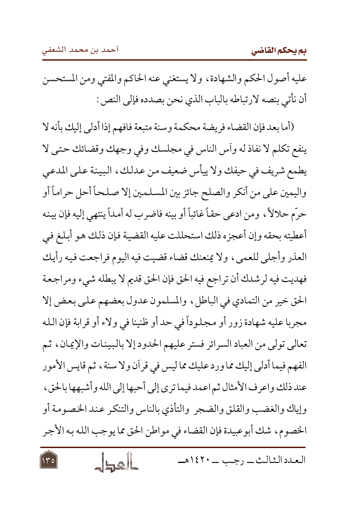عليه أصول الحكم والشهادة، ولا يستغني عنه الحاكم والمفتي ومن المستحسن أن نأتي بنصه لارتباطه بالباب الذي نحن بصدده فإلى النص :

(أما بعد فإن القضاء فريضة محكمة وسنة متبعة فافهم إذا أدلى إليك بأنه لا ينفع تكلم لا نفاذ له وأس الناس في مجلسك وفي وجهك وقضائك حتى لا يطمع شريف في حيفك ولا ييأس ضعيف من عدلك، البينة على المدعى واليمين على من أنكر والصلح جائز بين المسلمين إلا صلحاً أحل حراماً أو حرَّم حلالاً، ومن ادعى حقاً غائباً أو بينه فاضرب له أمداً ينتهي إليه فإن بينه أعطيته بحقه وإن أعجزه ذلك استحللت عليه القضية فإن ذلك هو أبلغ في العذر وأجلى للعمي، ولا يمنعنك قضاء قضيت فيه اليوم فراجعت فيه رأيك فهديت فيه لرشدك أن تراجع فيه الحق فإن الحق قديم لا يبطله شيء ومراجعة الحق خير من التمادي في الباطل، والمسلمون عدول بعضهم على بعض إلا مجربا عليه شهادة زور أو مجلوداً في حد أو ظنينا في ولاء أو قرابة فإن الله تعالى تولى من العباد السرائر فستر عليهم الحدود إلا بالبينات والإيمان، ثم الفهم فيما أدلى إليك مما ورد عليك مما ليس في قرآن ولا سنة ، ثم قايس الأمور عند ذلك واعرف الأمثال ثم اعمد فيما ترى إلى أحبها إلى الله وأشبهها بالحق، وإياك والغضب والقلق والضجر والتأذى بالناس والتنكر عند الخصومة أو الخصوم، شك أبوعبيدة فإن القضاء في مواطن الحق مما يوجب الله به الأجر

العدد الشالث \_ , جب \_ ١٤٢٠هـ

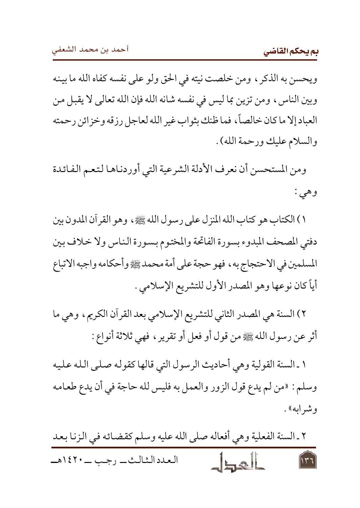ويحسن به الذكر ، ومن خلصت نيته في الحق ولو على نفسه كفاه الله ما بينه وبين الناس، ومن تزين بما ليس في نفسه شانه الله فإن الله تعالى لا يقبل من العباد إلا ما كان خالصاً، فما ظنك بثواب غير الله لعاجل رزقه وخزائن رحمته والسلام عليك ورحمة الله) .

ومن المستحسن أن نعرف الأدلة الشرعية التي أوردناها لتعم الفائدة وهي :

١) الكتاب هو كتاب الله المنزل على رسول الله ﷺ، وهو القرآن المدون بين دفتي المصحف المبدوء بسورة الفاتحة والمختوم بسورة الناس ولا خلاف بين المسلمين في الاحتجاج به ، فهو حجة على أمة محمد ﷺ وأحكامه واجبه الاتباع أياً كان نوعها وهو المصدر الأول للتشريع الإسلامي .

٢) السنة هي المصدر الثاني للتشريع الإسلامي بعد القرآن الكريم، وهي ما أثر عن رسول الله ﷺ من قول أو فعل أو تقرير ، فهي ثلاثة أنواع :

١ ـ السنة القولية وهي أحاديث الرسول التي قالها كقوله صلى الله عليه وسلم : «من لم يدع قول الزور والعمل به فليس لله حاجة في أن يدع طعـامـه وشرابه» .

٢ ـ السنة الفعلية وهي أفعاله صلى الله عليه وسلم كقضائه في الزنا بعد العدد الشالث \_ , جب \_ ١٤٢٠هـ  $\overline{\mathbf{a}}$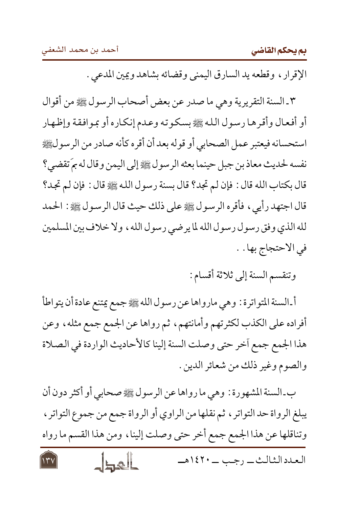بم يحكم القاضى

الإقرار ، وقطعه يد السارق اليمني وقضائه بشاهد ويمين المدعى .

٣ ـ السنة التقريرية وهي ما صدر عن بعض أصحاب الرسول ﷺ من أقوال أو أفعال وأقرها رسول الله ﷺ بسكوته وعدم إنكاره أو بموافقة وإظهار استحسانه فيعتبر عمل الصحابي أو قوله بعد أن أقره كأنه صادر من الرسولﷺ نفسه لحديث معاذ بن جبل حينما بعثه الرسول ﷺ إلى اليمن وقال له بمَ تقضي؟ قال بكتاب الله قال : فإن لم تجد؟ قال بسنة رسول الله ﷺ قال : فإن لم تجد؟ قال اجتهد رأيي ، فأقره الرسول ﷺ على ذلك حيث قال الرسول ﷺ : الحمد لله الذي وفق رسول رسول الله لما يرضي رسول الله ، ولا خلاف بين المسلمين في الاحتجاج بها . .

وتنقسم السنة إلى ثلاثة أقسام :

العدد الشالث \_ , جب \_ ١٤٢٠هـ

أ ـ السنة المتواترة : وهي مارواها عن رسول الله ﷺ جمع يمتنع عادة أن يتواطأ أفراده على الكذب لكثرتهم وأمانتهم، ثم رواها عن الجمع جمع مثله، وعن هذا الجمع جمع أخر حتى وصلت السنة إلينا كالأحاديث الواردة في الصلاة والصوم وغير ذلك من شعائر الدين .

ب ـ السنة المشهورة : وهي ما رواها عن الرسول ﷺ صحابي أو أكثر دون أن يبلغ الرواة حد التواتر ، ثم نقلها من الراوي أو الرواة جمع من جموع التواتر ، وتناقلها عن هذا الجمع جمع أخر حتى وصلت إلينا، ومن هذا القسم ما رواه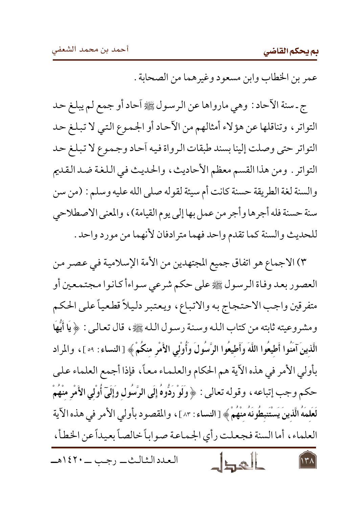۱۳۸

عمر بن الخطاب وابن مسعود وغيرهما من الصحابة .

ج ـ سنة الآحاد : وهي مارواها عن الرسول ﷺ آحاد أو جمع لم يبلغ حد التواتر ، وتناقلها عن هؤلاء أمثالهم من الآحاد أو الجموع التي لا تبلغ حد التواتر حتى وصلت إلينا بسند طبقات الرواة فيه أحاد وجموع لا تبلغ حد التواتر . ومن هذا القسم معظم الأحاديث، والحديث في اللغة ضد القديم والسنة لغة الطريقة حسنة كانت أم سيئة لقوله صلى الله عليه وسلم : (من سن سنة حسنة فله أجرها وأجر من عمل بها إلى يوم القيامة) ، والمعنى الاصطلاحي للحديث والسنة كما تقدم واحد فهما مترادفان لأنهما من مورد واحد .

٣) الاجماع هو اتفاق جميع المجتهدين من الأمة الإسلامية في عصر من العصور بعد وفاة الرسول ﷺ على حكم شرعي سواءأ كانوا مجتمعين أو متفرقين واجب الاحتجاج به والاتباع، ويعتبر دليلاً قطعياً على الحكم ومشروعيته ثابته من كتاب الله وسنة رسول الله ﷺ، قال تعالىي : ﴿ يَا أَيُّهَا الَّذينَ آمَنُوا أَطيعُوا اللَّهَ وَأَطيعُوا الرَّسُولَ وَأُولَى الأَمْرِ منكُمْ﴾ [النساء : ٥٩ ]، والمراد بأولى الأمر في هذه الآية هم الحكام والعلماء معاً، فإذا أجمع العلماء على حكم وجب إتباعه ، وقوله تعالى : ﴿ وَلَوْ رَدُّوهُ إِلَى الرَّسُولِ وَإِلَىٓ أُولٰي الأَمْرِ منْهُمْ لَعَلَمَهُ الَّذينَ يَسْتَنِطُونَهُ منْهُمْ ﴾ [النساء : ٨٣] ، والمقصود بأولي الأمر في هذه الآية العلماء، أما السنة فجعلت رأي الجماعة صواباً خالصاً بعيداً عن الخطأ،

العدد الشالث \_ , جب \_ ١٤٢٠هـ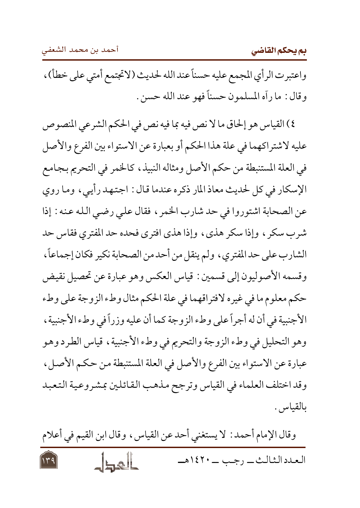بم يحكم القاضى

واعتبرت الرأي المجمع عليه حسناً عند الله لحديث (لاتجتمع أمتى على خطأ) ، وقال : ما رأه المسلمون حسناً فهو عند الله حسن .

٤) القياس هو إلحاق ما لا نص فيه بما فيه نص في الحكم الشرعي المنصوص عليه لاشتراكهما في علة هذا الحكم أو بعبارة عن الاستواء بين الفرع والأصل في العلة المستنبطة من حكم الأصل ومثاله النبيذ، كالخمر في التحريم بجامع الإسكار في كل لحديث معاذ المار ذكره عندما قال : اجتهد رأييي، وما روي عن الصحابة اشتوروا في حد شارب الخمر ، فقال على رضي الله عنه : إذا شرب سكر ، وإذا سكر هذي ، وإذا هذي افترى فحده حد المفتري فقاس حد الشارب على حد المفتري ، ولم ينقل من أحد من الصحابة نكير فكان إجماعاً ، وقسمه الأصوليون إلى قسمين: قياس العكس وهو عبارة عن تحصيل نقيض حكم معلوم ما في غيره لافتراقهما في علة الحكم مثال وطء الزوجة على وطء الأجنبية في أن له أجراً على وطء الزوجة كما أن عليه وزراً في وطء الأجنبية ، وهو التحليل في وطء الزوجة والتحريم في وطء الأجنبية ، قياس الطرد وهو عبارة عن الاستواء بين الفرع والأصل في العلة المستنبطة من حكم الأصل، وقد اختلف العلماء في القياس وترجح مذهب القائلين بمشروعية التعبد ىالقياس .

وقال الإمام أحمد : لا يستغني أحد عن القياس ، وقال ابن القيم في أعلام العدد الشالث \_ , جب \_ ١٤٢٠هـ